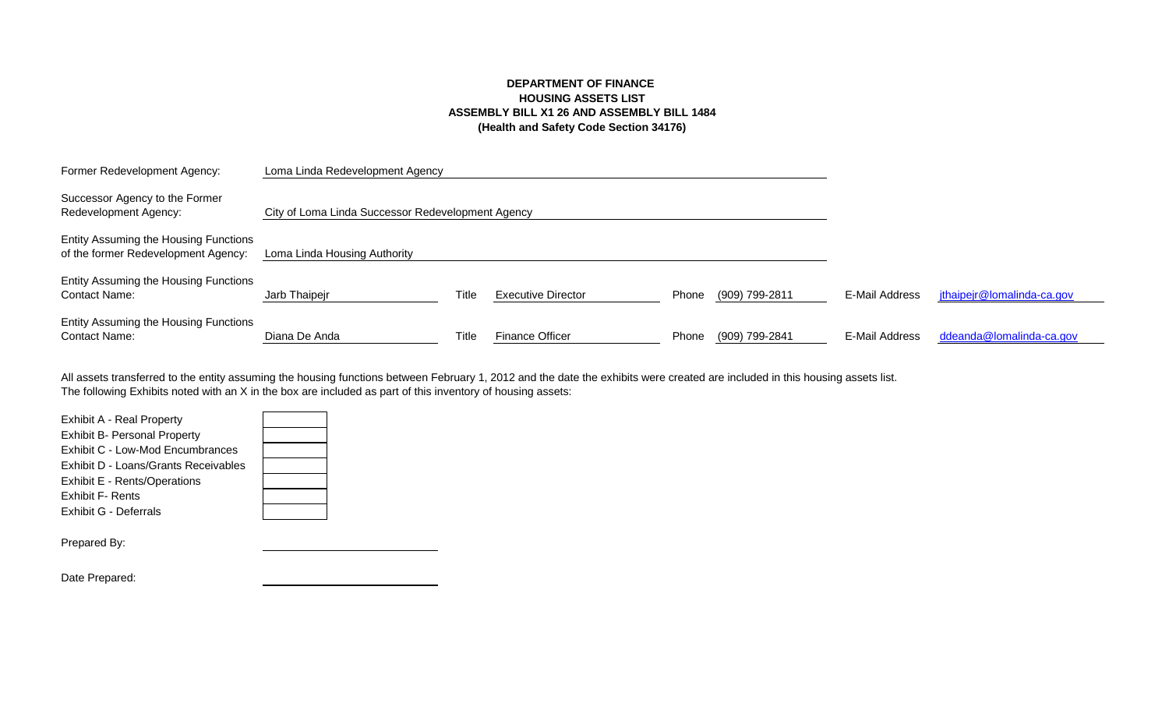## **DEPARTMENT OF FINANCE HOUSING ASSETS LIST ASSEMBLY BILL X1 26 AND ASSEMBLY BILL 1484 (Health and Safety Code Section 34176)**

| Former Redevelopment Agency:                                                 | Loma Linda Redevelopment Agency                   |       |                           |       |                |                |                            |
|------------------------------------------------------------------------------|---------------------------------------------------|-------|---------------------------|-------|----------------|----------------|----------------------------|
| Successor Agency to the Former<br>Redevelopment Agency:                      | City of Loma Linda Successor Redevelopment Agency |       |                           |       |                |                |                            |
| Entity Assuming the Housing Functions<br>of the former Redevelopment Agency: | Loma Linda Housing Authority                      |       |                           |       |                |                |                            |
| Entity Assuming the Housing Functions<br><b>Contact Name:</b>                | Jarb Thaipejr                                     | Title | <b>Executive Director</b> | Phone | (909) 799-2811 | E-Mail Address | jthaipejr@lomalinda-ca.gov |
| Entity Assuming the Housing Functions<br><b>Contact Name:</b>                | Diana De Anda                                     | Title | <b>Finance Officer</b>    | Phone | (909) 799-2841 | E-Mail Address | ddeanda@lomalinda-ca.gov   |

The following Exhibits noted with an X in the box are included as part of this inventory of housing assets: All assets transferred to the entity assuming the housing functions between February 1, 2012 and the date the exhibits were created are included in this housing assets list.

| <b>Exhibit A - Real Property</b>     |  |
|--------------------------------------|--|
| <b>Exhibit B- Personal Property</b>  |  |
| Exhibit C - Low-Mod Encumbrances     |  |
| Exhibit D - Loans/Grants Receivables |  |
| Exhibit E - Rents/Operations         |  |
| <b>Exhibit F- Rents</b>              |  |
| Exhibit G - Deferrals                |  |
|                                      |  |
| Prepared By:                         |  |

Date Prepared: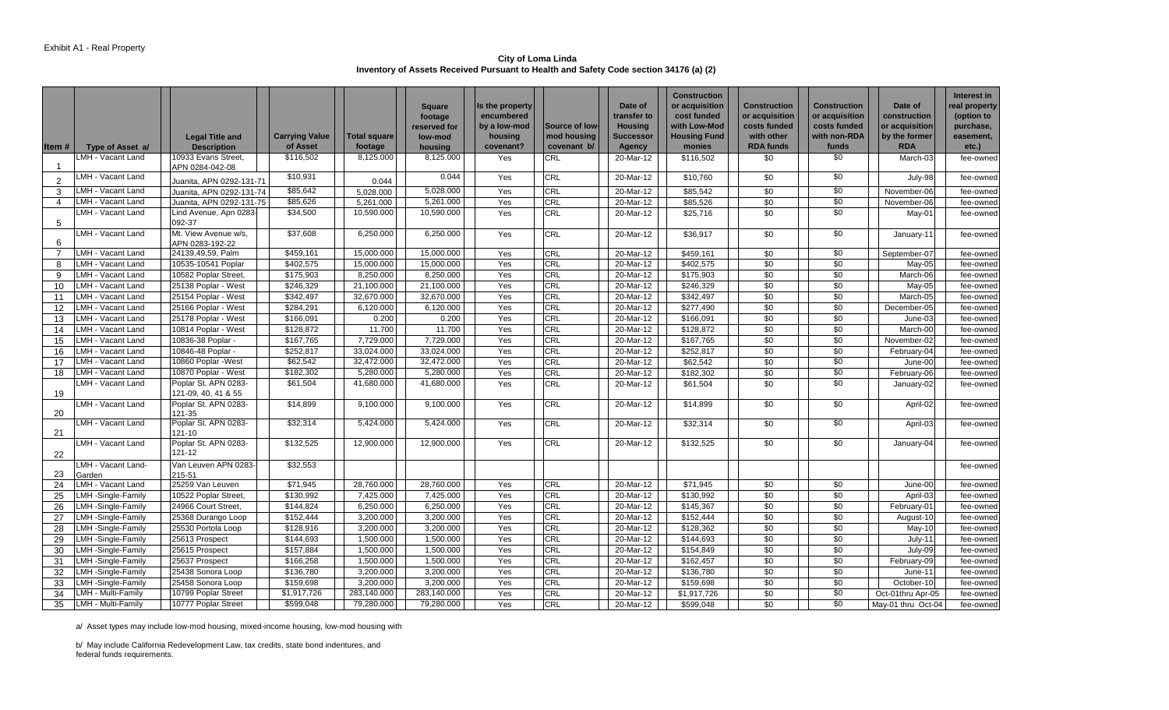**City of Loma Linda Inventory of Assets Received Pursuant to Health and Safety Code section 34176 (a) (2)** 

|                |                                          |                                            |                          |                          | <b>Square</b>             | Is the property            |                   | Date of                              | <b>Construction</b><br>or acquisition | <b>Construction</b>            | Construction                   | Date of                                 | Interest in<br>real property |
|----------------|------------------------------------------|--------------------------------------------|--------------------------|--------------------------|---------------------------|----------------------------|-------------------|--------------------------------------|---------------------------------------|--------------------------------|--------------------------------|-----------------------------------------|------------------------------|
|                |                                          |                                            |                          |                          | footage<br>reserved for   | encumbered<br>by a low-mod | Source of low-    | transfer to<br><b>Housing</b>        | cost funded<br>with Low-Mod           | or acquisition<br>costs funded | or acquisition<br>costs funded | construction<br>or acquisition          | (option to<br>purchase,      |
|                |                                          | <b>Legal Title and</b>                     | <b>Carrying Value</b>    | Total square             | low-mod                   | housing                    | mod housing       | <b>Successor</b>                     | <b>Housing Fund</b>                   | with other                     | with non-RDA                   | by the former                           | easement,                    |
| Item#          | Type of Asset a/                         | <b>Description</b>                         | of Asset                 | footage                  | housing                   | covenant?                  | covenant b/       | <b>Agency</b>                        | monies                                | <b>RDA funds</b>               | funds                          | <b>RDA</b>                              | $etc.$ )                     |
|                | LMH - Vacant Land                        | 10933 Evans Street,<br>APN 0284-042-08     | \$116,502                | 8,125.000                | 8,125.000                 | Yes                        | CRL               | 20-Mar-12                            | \$116,502                             | \$0                            | \$0                            | March-03                                | fee-owned                    |
| $\overline{2}$ | LMH - Vacant Land                        | Juanita, APN 0292-131-71                   | \$10,931                 | 0.044                    | 0.044                     | Yes                        | CRL               | 20-Mar-12                            | \$10,760                              | \$0                            | $\sqrt{50}$                    | July-98                                 | fee-owned                    |
| 3              | LMH - Vacant Land                        | Juanita, APN 0292-131-74                   | \$85,642                 | 5,028.000                | 5,028.000                 | Yes                        | <b>CRL</b>        | 20-Mar-12                            | \$85,542                              | \$0                            | \$0                            | November-06                             | fee-owned                    |
| 4              | LMH - Vacant Land                        | Juanita, APN 0292-131-75                   | \$85,626                 | 5,261.000                | 5,261.000                 | Yes                        | <b>CRL</b>        | 20-Mar-12                            | \$85,526                              | \$0                            | $\sqrt{6}$                     | November-06                             | fee-owned                    |
| 5              | LMH - Vacant Land                        | Lind Avenue, Apn 0283-<br>092-37           | \$34,500                 | 10,590.000               | 10,590.000                | Yes                        | CRL               | 20-Mar-12                            | \$25,716                              | \$0                            | \$0                            | May-01                                  | fee-owned                    |
| 6              | MH - Vacant Land                         | Mt. View Avenue w/s.<br>APN 0283-192-22    | \$37,608                 | 6,250.000                | 6,250.000                 | Yes                        | CRL               | 20-Mar-12                            | \$36,917                              | \$0                            | $\sqrt{50}$                    | January-11                              | fee-owned                    |
| $\overline{7}$ | LMH - Vacant Land                        | 24139,49,59, Palm                          | \$459,161                | 15.000.000               | 15,000.000                | Yes                        | CRL               | 20-Mar-12                            | \$459,161                             | \$0                            | \$0                            | September-07                            | fee-owned                    |
| 8              | LMH - Vacant Land                        | 10535-10541 Poplar                         | \$402,575                | 15,000.000               | 15,000.000                | Yes                        | <b>CRL</b>        | 20-Mar-12                            | \$402,575                             | \$0                            | $\sqrt{6}$                     | May-05                                  | fee-owned                    |
| 9              | LMH - Vacant Land                        | 10582 Poplar Street,                       | \$175,903                | 8,250.000                | 8,250.000                 | Yes                        | CRL               | 20-Mar-12                            | \$175,903                             | \$0                            | $\overline{50}$                | March-06                                | fee-owned                    |
| 10             | LMH - Vacant Land                        | 25138 Poplar - West                        | \$246,329                | 21,100.000               | 21,100.000                | Yes                        | CRL               | 20-Mar-12                            | \$246,329                             | \$0                            | $\sqrt{6}$                     | May-05                                  | fee-owned                    |
| 11             | LMH - Vacant Land                        | 25154 Poplar - West                        | \$342,497                | 32,670.000               | 32,670.000                | Yes                        | CRL               | 20-Mar-12                            | \$342,497                             | $\sqrt{50}$                    | $\sqrt{6}$                     | March-05                                | fee-owned                    |
| 12             | LMH - Vacant Land                        | 25166 Poplar - West                        | \$284,291                | 6,120.000                | 6,120.000                 | Yes                        | <b>CRL</b>        | 20-Mar-12                            | \$277,490                             | \$0                            | $\sqrt{6}$                     | December-05                             | fee-owned                    |
| 13             | LMH - Vacant Land                        | 25178 Poplar - West                        | \$166,091                | 0.200                    | 0.200                     | Yes                        | CRL               | 20-Mar-12                            | \$166,091                             | \$0                            | $\sqrt{6}$                     | June-03                                 | fee-owned                    |
| 14             | LMH - Vacant Land                        | 10814 Poplar - West                        | \$128,872                | 11.700                   | 11.700                    | Yes                        | CRL               | 20-Mar-12                            | \$128,872                             | \$0<br>$\overline{30}$         | \$0<br>\$0                     | March-00                                | fee-owned                    |
| 15             | LMH - Vacant Land                        | 10836-38 Poplar -                          | \$167,765                | 7,729.000                | 7,729.000                 | Yes                        | CRL               | 20-Mar-12                            | \$167,765                             |                                |                                | November-02                             | fee-owned                    |
| 16             | LMH - Vacant Land                        | 10846-48 Poplar -                          | \$252,817<br>\$62,542    | 33,024.000<br>32,472.000 | 33,024.000<br>32,472.000  | Yes                        | CRL<br><b>CRL</b> | 20-Mar-12<br>20-Mar-12               | \$252,817<br>\$62,542                 | \$0<br>\$0                     | \$0<br>\$0                     | February-04                             | fee-owned                    |
| 17             | LMH - Vacant Land<br>LMH - Vacant Land   | 10860 Poplar -West<br>10870 Poplar - West  | \$182,302                | 5,280.000                | 5,280.000                 | Yes<br>Yes                 | <b>CRL</b>        | 20-Mar-12                            | \$182,302                             | \$0                            | $\sqrt{6}$                     | June-00<br>February-06                  | fee-owned                    |
| 18             | LMH - Vacant Land                        | Poplar St. APN 0283-                       | \$61,504                 | 41,680.000               | 41,680.000                | Yes                        | CRL               | 20-Mar-12                            | \$61,504                              | \$0                            | \$0                            | January-02                              | fee-owned<br>fee-owned       |
| 19             |                                          | 121-09, 40, 41 & 55                        |                          |                          |                           |                            |                   |                                      |                                       |                                |                                |                                         |                              |
| 20             | LMH - Vacant Land                        | Poplar St. APN 0283-<br>121-35             | \$14,899                 | 9,100.000                | 9,100.000                 | Yes                        | CRL               | 20-Mar-12                            | \$14,899                              | \$0                            | $\sqrt{6}$                     | April-02                                | fee-owned                    |
| 21             | LMH - Vacant Land                        | Poplar St. APN 0283-<br>121-10             | \$32,314                 | 5,424.000                | 5,424.000                 | Yes                        | CRL               | 20-Mar-12                            | \$32,314                              | \$0                            | \$0                            | April-03                                | fee-owned                    |
| 22             | LMH - Vacant Land                        | Poplar St. APN 0283-<br>121-12             | \$132,525                | 12,900.000               | 12,900.000                | Yes                        | <b>CRL</b>        | 20-Mar-12                            | \$132,525                             | \$0                            | \$0                            | January-04                              | fee-owned                    |
| 23             | LMH - Vacant Land-<br>Garden             | Van Leuven APN 0283-<br>215-51             | \$32,553                 |                          |                           |                            |                   |                                      |                                       |                                |                                |                                         | fee-owned                    |
| 24             | LMH - Vacant Land                        | 25259 Van Leuven                           | \$71,945                 | 28,760.000               | 28,760.000                | Yes                        | CRL               | 20-Mar-12                            | \$71,945                              | \$0                            | $\sqrt{6}$                     | June-00                                 | fee-owned                    |
| 25             | LMH-Single-Family                        | 10522 Poplar Street,                       | \$130,992                | 7.425.000                | 7,425.000                 | Yes                        | CRL               | 20-Mar-12                            | \$130,992                             | \$0                            | \$0                            | April-03                                | fee-owned                    |
| 26             | LMH-Single-Family                        | 24966 Court Street,                        | \$144,824                | 6,250.000                | 6,250.000                 | Yes                        | CRL               | 20-Mar-12                            | \$145,367                             | \$0                            | \$0                            | February-01                             | fee-owned                    |
| 27             | LMH-Single-Family                        | 25368 Durango Loop                         | \$152,444                | 3.200.000                | 3.200.000                 | Yes                        | CRL               | 20-Mar-12                            | \$152,444                             | $\overline{50}$                | $\overline{50}$                | August-10                               | fee-owned                    |
| 28             | LMH-Single-Family                        | 25530 Portola Loop                         | \$128,916                | 3,200.000                | 3,200.000                 | Yes                        | CRL               | 20-Mar-12                            | \$128,362                             | \$0                            | $\sqrt{6}$                     | $May-10$                                | fee-owned                    |
| 29             | LMH-Single-Family                        | 25613 Prospect                             | \$144,693                | 1.500.000                | 1,500.000                 | Yes                        | CRL               | 20-Mar-12                            | \$144,693                             | $\overline{50}$                | \$0                            | July-11                                 | fee-owned                    |
| 30             | LMH-Single-Family                        | 25615 Prospect                             | \$157,884                | 1,500.000                | 1,500.000                 | Yes                        | <b>CRL</b>        | 20-Mar-12                            | \$154,849                             | \$0                            | $\sqrt{6}$                     | July-09                                 | fee-owned                    |
| 31             | LMH-Single-Family                        | 25637 Prospect                             | \$166,258                | 1,500.000                | 1,500.000                 | Yes                        | <b>CRL</b>        | 20-Mar-12                            | \$162,457                             | $\overline{50}$                | $\sqrt{6}$                     | February-09                             | fee-owned                    |
| 32             | LMH-Single-Family                        | 25438 Sonora Loop                          | \$136,780                | 3,200.000                | 3,200.000                 | Yes                        | CRL               | 20-Mar-12                            | \$136,780                             | \$0                            | $\sqrt{6}$                     | June-11                                 | fee-owned                    |
| 33             | LMH-Single-Family                        | 25458 Sonora Loop                          | \$159,698                | 3,200.000<br>283.140.000 | 3,200.000                 | Yes                        | CRL<br>CRL        | 20-Mar-12                            | \$159,698                             | \$0<br>\$0                     | $\sqrt{6}$<br>$\sqrt{6}$       | October-10                              | fee-owned                    |
| 34<br>35       | LMH - Multi-Family<br>LMH - Multi-Family | 10799 Poplar Street<br>10777 Poplar Street | \$1,917,726<br>\$599,048 | 79,280.000               | 283,140.000<br>79,280.000 | Yes<br>Yes                 | <b>CRL</b>        | $\overline{2}$ 0-Mar-12<br>20-Mar-12 | \$1,917,726<br>\$599,048              | $\overline{30}$                | $\overline{50}$                | Oct-01thru Apr-05<br>Mav-01 thru Oct-04 | fee-owned                    |
|                |                                          |                                            |                          |                          |                           |                            |                   |                                      |                                       |                                |                                |                                         | fee-owned                    |

a/ Asset types may include low-mod housing, mixed-income housing, low-mod housing with

b/ May include California Redevelopment Law, tax credits, state bond indentures, and federal funds requirements.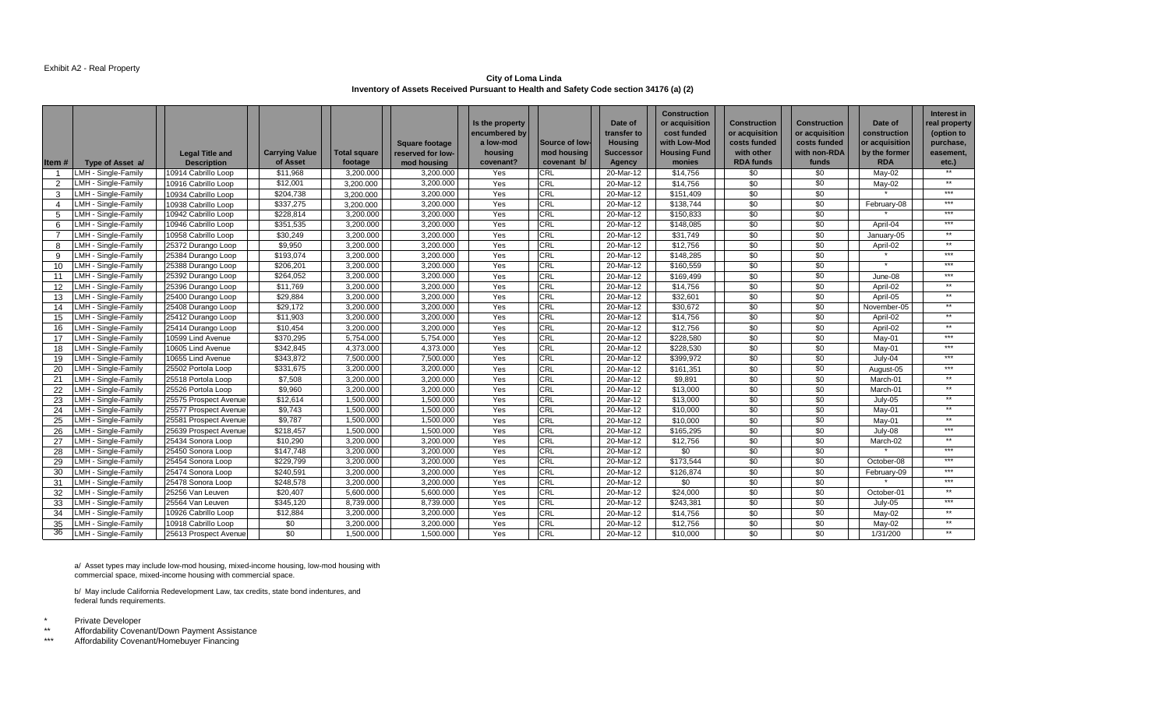#### Exhibit A2 - Real Property

**City of Loma Linda Inventory of Assets Received Pursuant to Health and Safety Code section 34176 (a) (2)** 

|                   |                     |                        |                       |                     |                       | Is the property            |                | Date of                       | <b>Construction</b><br>or acquisition | <b>Construction</b>            | Construction                   | Date of                        | Interest in<br>real property |
|-------------------|---------------------|------------------------|-----------------------|---------------------|-----------------------|----------------------------|----------------|-------------------------------|---------------------------------------|--------------------------------|--------------------------------|--------------------------------|------------------------------|
|                   |                     |                        |                       |                     | <b>Square footage</b> | encumbered by<br>a low-mod | Source of low- | transfer to<br><b>Housing</b> | cost funded<br>with Low-Mod           | or acquisition<br>costs funded | or acquisition<br>costs funded | construction<br>or acquisition | (option to<br>purchase,      |
|                   |                     | <b>Legal Title and</b> | <b>Carrying Value</b> | <b>Total square</b> | reserved for low-     | housing                    | mod housing    | <b>Successor</b>              | <b>Housing Fund</b>                   | with other                     | with non-RDA                   | by the former                  | easement,                    |
| Item #            | Type of Asset a/    | <b>Description</b>     | of Asset              | footage             | mod housing           | covenant?                  | covenant b/    | Agency                        | monies                                | <b>RDA funds</b>               | funds                          | <b>RDA</b>                     | etc.)                        |
|                   | LMH - Single-Family | 10914 Cabrillo Loop    | \$11,968              | 3,200.000           | 3,200.000             | Yes                        | <b>CRL</b>     | 20-Mar-12                     | \$14,756                              | \$0                            | \$0                            | May-02                         | $***$                        |
| $\mathcal{P}$     | LMH - Single-Family | 10916 Cabrillo Loop    | $\overline{$12,001}$  | 3,200.000           | 3,200.000             | Yes                        | CRL            | 20-Mar-12                     | \$14,756                              | \$0                            | \$0                            | May-02                         | $**$                         |
| 3                 | LMH - Single-Family | 10934 Cabrillo Loop    | \$204,738             | 3,200.000           | 3,200.000             | Yes                        | CRL            | 20-Mar-12                     | \$151,409                             | \$0                            | \$0                            |                                | $***$                        |
| 4                 | LMH - Single-Family | 10938 Cabrillo Loop    | \$337,275             | 3.200.000           | 3,200.000             | Yes                        | <b>CRL</b>     | 20-Mar-12                     | \$138,744                             | \$0                            | \$0                            | February-08                    | $***$                        |
| 5                 | LMH - Single-Family | 10942 Cabrillo Loop    | \$228,814             | 3,200.000           | 3,200.000             | Yes                        | <b>CRL</b>     | 20-Mar-12                     | \$150,833                             | \$0                            | \$0                            |                                | $***$                        |
| 6                 | LMH - Single-Family | 10946 Cabrillo Loop    | \$351,535             | 3,200.000           | 3,200.000             | Yes                        | CRL            | 20-Mar-12                     | \$148,085                             | \$0                            | \$0                            | April-04                       | $***$                        |
| $\overline{7}$    | LMH - Single-Family | 10958 Cabrillo Loop    | \$30,249              | 3,200.000           | 3,200.000             | Yes                        | CRL            | 20-Mar-12                     | \$31,749                              | \$0                            | \$0                            | January-05                     | $***$                        |
| 8                 | LMH - Single-Family | 25372 Durango Loop     | \$9,950               | 3,200.000           | 3,200.000             | Yes                        | CRL            | 20-Mar-12                     | \$12,756                              | \$0                            | \$0                            | April-02                       | $***$                        |
| q                 | LMH - Single-Family | 25384 Durango Loop     | \$193,074             | 3.200.000           | 3.200.000             | Yes                        | CRL            | 20-Mar-12                     | \$148.285                             | \$0                            | \$0                            |                                | $***$                        |
| 10                | LMH - Single-Family | 25388 Durango Loop     | \$206,201             | 3,200.000           | 3,200.000             | Yes                        | <b>CRL</b>     | 20-Mar-12                     | \$160,559                             | \$0                            | \$0                            |                                | $***$                        |
| 11                | LMH - Single-Family | 25392 Durango Loop     | \$264,052             | 3,200.000           | 3,200.000             | Yes                        | CRL            | 20-Mar-12                     | \$169,499                             | \$0                            | \$0                            | June-08                        | $***$                        |
| $12 \overline{ }$ | LMH - Single-Family | 25396 Durango Loop     | \$11,769              | 3,200.000           | 3,200.000             | Yes                        | CRL            | 20-Mar-12                     | \$14,756                              | \$0                            | \$0                            | April-02                       | $**$                         |
| 13                | LMH - Single-Family | 25400 Durango Loop     | \$29,884              | 3.200.000           | 3.200.000             | Yes                        | <b>CRL</b>     | 20-Mar-12                     | \$32,601                              | \$0                            | \$0                            | April-05                       | $***$                        |
| 14                | LMH - Single-Family | 25408 Durango Loop     | \$29,172              | 3,200.000           | 3,200.000             | Yes                        | <b>CRL</b>     | 20-Mar-12                     | \$30,672                              | \$0                            | \$0                            | November-05                    | $***$                        |
| 15                | LMH - Single-Family | 25412 Durango Loop     | \$11,903              | 3,200.000           | 3,200.000             | Yes                        | CRL            | 20-Mar-12                     | \$14,756                              | \$0                            | \$0                            | April-02                       | $***$                        |
| 16                | LMH - Single-Family | 25414 Durango Loop     | \$10,454              | 3,200.000           | 3,200.000             | Yes                        | <b>CRL</b>     | 20-Mar-12                     | \$12,756                              | \$0                            | \$0                            | April-02                       | $***$                        |
| 17                | LMH - Single-Family | 10599 Lind Avenue      | \$370,295             | 5,754.000           | 5,754.000             | Yes                        | CRL            | 20-Mar-12                     | \$228,580                             | \$0                            | \$0                            | May-01                         | $***$                        |
| 18                | LMH - Single-Family | 10605 Lind Avenue      | \$342,845             | 4.373.000           | 4.373.000             | Yes                        | CRL            | 20-Mar-12                     | \$228.530                             | \$0                            | \$0                            | May-01                         | $***$                        |
| 19                | LMH - Single-Family | 10655 Lind Avenue      | \$343.872             | 7.500.000           | 7.500.000             | Yes                        | <b>CRL</b>     | 20-Mar-12                     | \$399.972                             | \$0                            | \$0                            | $July-04$                      | $***$                        |
| 20                | LMH - Single-Family | 25502 Portola Loop     | \$331,675             | 3,200.000           | 3,200.000             | Yes                        | CRL            | 20-Mar-12                     | \$161,351                             | \$0                            | \$0                            | August-05                      | $***$                        |
| 21                | LMH - Single-Family | 25518 Portola Loop     | \$7,508               | 3,200.000           | 3,200.000             | Yes                        | CRL            | 20-Mar-12                     | \$9,891                               | \$0                            | \$0                            | March-01                       | $***$                        |
| 22                | MH - Single-Family  | 25526 Portola Loop     | \$9,960               | 3,200.000           | 3,200.000             | Yes                        | <b>CRL</b>     | 20-Mar-12                     | \$13,000                              | \$0                            | \$0                            | March-01                       | $***$                        |
| 23                | LMH - Single-Family | 25575 Prospect Avenue  | \$12,614              | 1.500.000           | 1.500.000             | Yes                        | <b>CRL</b>     | 20-Mar-12                     | \$13,000                              | \$0                            | $\overline{50}$                | $July-05$                      | $***$                        |
| 24                | LMH - Single-Family | 25577 Prospect Avenue  | \$9,743               | 1,500.000           | 1,500.000             | Yes                        | <b>CRL</b>     | 20-Mar-12                     | \$10,000                              | \$0                            | \$0                            | May-01                         | $***$                        |
| 25                | LMH - Single-Family | 25581 Prospect Avenue  | \$9,787               | 1,500.000           | 1,500.000             | Yes                        | <b>CRL</b>     | 20-Mar-12                     | \$10,000                              | \$0                            | \$0                            | May-01                         | $***$                        |
| 26                | MH - Single-Family  | 25639 Prospect Avenue  | \$218,457             | 1,500.000           | 1,500.000             | Yes                        | CRL            | 20-Mar-12                     | \$165,295                             | \$0                            | \$0                            | July-08                        | $***$                        |
| 27                | LMH - Single-Family | 25434 Sonora Loop      | \$10,290              | 3,200.000           | 3,200.000             | Yes                        | CRL            | 20-Mar-12                     | \$12,756                              | \$0                            | \$0                            | March-02                       | $***$                        |
| 28                | LMH - Single-Family | 25450 Sonora Loop      | \$147.748             | 3.200.000           | 3.200.000             | Yes                        | <b>CRL</b>     | 20-Mar-12                     | \$0                                   | \$0                            | \$0                            |                                | $***$                        |
| 29                | LMH - Single-Family | 25454 Sonora Loop      | \$229,799             | 3,200.000           | 3,200.000             | Yes                        | CRL            | 20-Mar-12                     | \$173,544                             | \$0                            | \$0                            | October-08                     | $***$                        |
| 30                | LMH - Single-Family | 25474 Sonora Loop      | \$240,591             | 3,200.000           | 3,200.000             | Yes                        | CRL            | 20-Mar-12                     | \$126,874                             | \$0                            | \$0                            | February-09                    | $***$                        |
| 31                | LMH - Single-Family | 25478 Sonora Loop      | \$248,578             | 3,200.000           | 3,200.000             | Yes                        | <b>CRL</b>     | 20-Mar-12                     | \$0                                   | \$0                            | \$0                            |                                | $***$                        |
| 32                | LMH - Single-Family | 25256 Van Leuven       | \$20,407              | 5,600.000           | 5,600.000             | Yes                        | <b>CRL</b>     | 20-Mar-12                     | \$24,000                              | \$0                            | \$0                            | October-01                     | $***$                        |
| 33                | LMH - Single-Family | 25564 Van Leuven       | \$345.120             | 8.739.000           | 8.739.000             | Yes                        | CRL            | 20-Mar-12                     | \$243.381                             | \$0                            | \$0                            | July-05                        | $***$                        |
| 34                | LMH - Single-Family | 10926 Cabrillo Loop    | \$12,884              | 3,200.000           | 3,200.000             | Yes                        | <b>CRL</b>     | 20-Mar-12                     | \$14,756                              | \$0                            | \$0                            | May-02                         | $**$                         |
| 35                | MH - Single-Family  | 10918 Cabrillo Loop    | \$0                   | 3,200.000           | 3,200.000             | Yes                        | CRL            | 20-Mar-12                     | \$12,756                              | \$0                            | \$0                            | May-02                         | $***$                        |
| 36                | LMH - Single-Family | 25613 Prospect Avenue  | \$0                   | 1,500.000           | 1,500.000             | Yes                        | <b>CRL</b>     | 20-Mar-12                     | \$10,000                              | \$0                            | \$0                            | 1/31/200                       | $***$                        |

a/ Asset types may include low-mod housing, mixed-income housing, low-mod housing with commercial space, mixed-income housing with commercial space.

b/ May include California Redevelopment Law, tax credits, state bond indentures, and federal funds requirements.

- \* Private Developer<br>\*\* Affordability Covens
- \*\* Affordability Covenant/Down Payment Assistance<br>\*\*\* Affordability Covenant/Homebuyer Financing

Affordability Covenant/Homebuyer Financing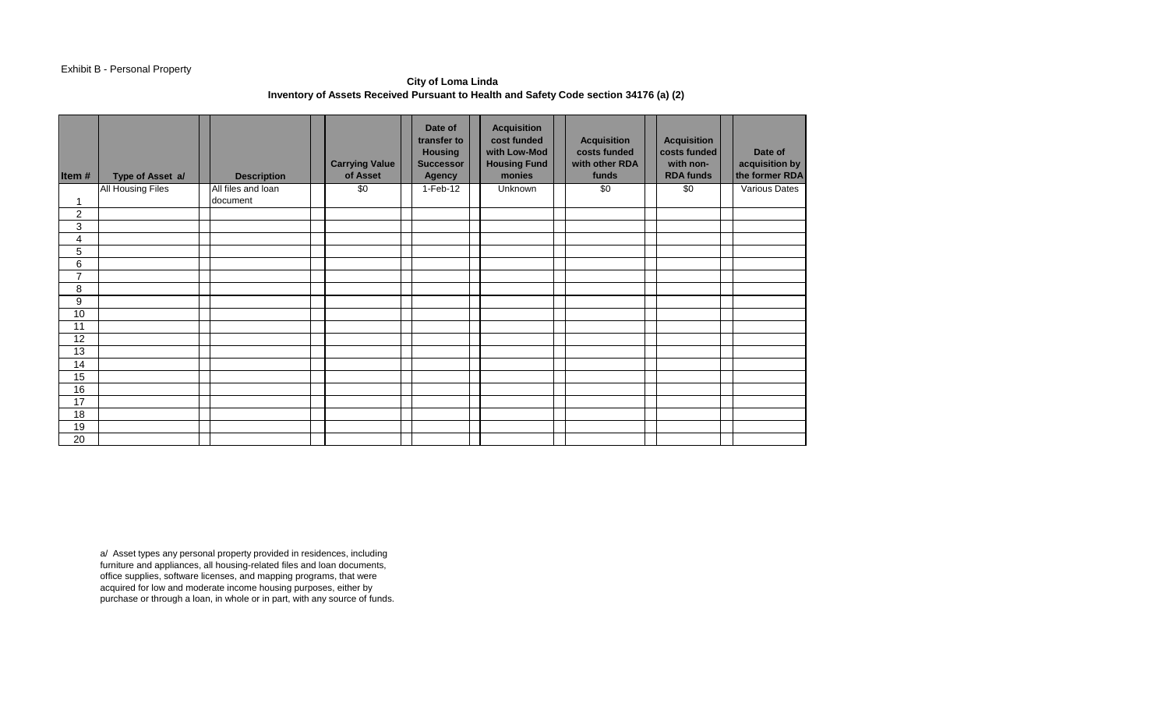### Exhibit B - Personal Property

## **City of Loma Linda Inventory of Assets Received Pursuant to Health and Safety Code section 34176 (a) (2)**

| Item#           | Type of Asset a/         | <b>Description</b> | <b>Carrying Value</b><br>of Asset | Date of<br>transfer to<br><b>Housing</b><br><b>Successor</b><br><b>Agency</b> | <b>Acquisition</b><br>cost funded<br>with Low-Mod<br><b>Housing Fund</b><br>monies | <b>Acquisition</b><br>costs funded<br>with other RDA<br>funds | <b>Acquisition</b><br>costs funded<br>with non-<br><b>RDA funds</b> | Date of<br>acquisition by<br>the former RDA |
|-----------------|--------------------------|--------------------|-----------------------------------|-------------------------------------------------------------------------------|------------------------------------------------------------------------------------|---------------------------------------------------------------|---------------------------------------------------------------------|---------------------------------------------|
|                 | <b>All Housing Files</b> | All files and loan | \$0                               | 1-Feb-12                                                                      | Unknown                                                                            | \$0                                                           | \$0                                                                 | Various Dates                               |
| 1               |                          | document           |                                   |                                                                               |                                                                                    |                                                               |                                                                     |                                             |
| $\overline{c}$  |                          |                    |                                   |                                                                               |                                                                                    |                                                               |                                                                     |                                             |
| 3               |                          |                    |                                   |                                                                               |                                                                                    |                                                               |                                                                     |                                             |
| 4               |                          |                    |                                   |                                                                               |                                                                                    |                                                               |                                                                     |                                             |
| 5               |                          |                    |                                   |                                                                               |                                                                                    |                                                               |                                                                     |                                             |
| 6               |                          |                    |                                   |                                                                               |                                                                                    |                                                               |                                                                     |                                             |
| $\overline{7}$  |                          |                    |                                   |                                                                               |                                                                                    |                                                               |                                                                     |                                             |
| 8               |                          |                    |                                   |                                                                               |                                                                                    |                                                               |                                                                     |                                             |
| 9               |                          |                    |                                   |                                                                               |                                                                                    |                                                               |                                                                     |                                             |
| 10              |                          |                    |                                   |                                                                               |                                                                                    |                                                               |                                                                     |                                             |
| 11              |                          |                    |                                   |                                                                               |                                                                                    |                                                               |                                                                     |                                             |
| 12              |                          |                    |                                   |                                                                               |                                                                                    |                                                               |                                                                     |                                             |
| 13              |                          |                    |                                   |                                                                               |                                                                                    |                                                               |                                                                     |                                             |
| 14              |                          |                    |                                   |                                                                               |                                                                                    |                                                               |                                                                     |                                             |
| 15              |                          |                    |                                   |                                                                               |                                                                                    |                                                               |                                                                     |                                             |
| 16              |                          |                    |                                   |                                                                               |                                                                                    |                                                               |                                                                     |                                             |
| 17              |                          |                    |                                   |                                                                               |                                                                                    |                                                               |                                                                     |                                             |
| 18              |                          |                    |                                   |                                                                               |                                                                                    |                                                               |                                                                     |                                             |
| 19              |                          |                    |                                   |                                                                               |                                                                                    |                                                               |                                                                     |                                             |
| $\overline{20}$ |                          |                    |                                   |                                                                               |                                                                                    |                                                               |                                                                     |                                             |

a/ Asset types any personal property provided in residences, including furniture and appliances, all housing-related files and loan documents, office supplies, software licenses, and mapping programs, that were acquired for low and moderate income housing purposes, either by purchase or through a loan, in whole or in part, with any source of funds.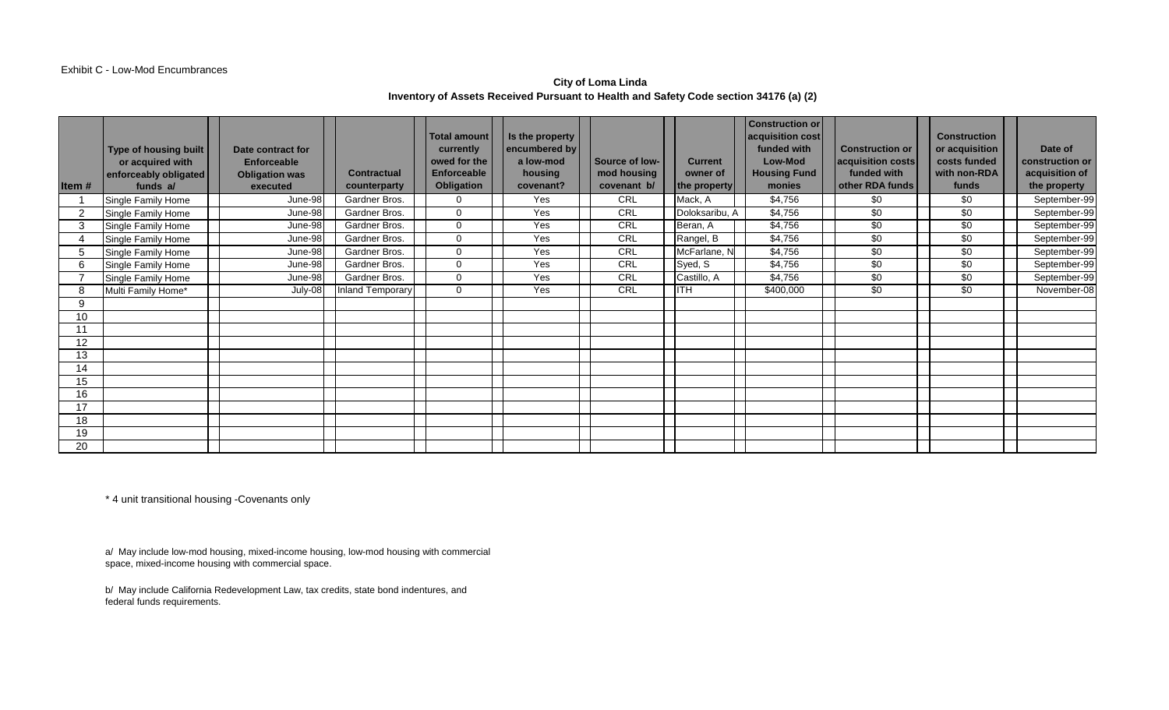### Exhibit C - Low-Mod Encumbrances

# **City of Loma Linda Inventory of Assets Received Pursuant to Health and Safety Code section 34176 (a) (2)**

| Item# | <b>Type of housing built</b><br>or acquired with<br>enforceably obligated<br>funds a/ | Date contract for<br><b>Enforceable</b><br><b>Obligation was</b><br>executed | <b>Contractual</b><br>counterparty | Total amount<br>currently<br>owed for the<br><b>Enforceable</b><br><b>Obligation</b> | Is the property<br>encumbered by<br>a low-mod<br>housing<br>covenant? | Source of low-<br>mod housing<br>covenant b/ | <b>Current</b><br>owner of<br>the property | <b>Construction or</b><br>acquisition cost<br>funded with<br>Low-Mod<br><b>Housing Fund</b><br>monies | <b>Construction or</b><br>acquisition costs<br>funded with<br>other RDA funds | <b>Construction</b><br>or acquisition<br>costs funded<br>with non-RDA<br>funds | Date of<br>construction or<br>acquisition of<br>the property |
|-------|---------------------------------------------------------------------------------------|------------------------------------------------------------------------------|------------------------------------|--------------------------------------------------------------------------------------|-----------------------------------------------------------------------|----------------------------------------------|--------------------------------------------|-------------------------------------------------------------------------------------------------------|-------------------------------------------------------------------------------|--------------------------------------------------------------------------------|--------------------------------------------------------------|
|       | Single Family Home                                                                    | June-98                                                                      | Gardner Bros.                      |                                                                                      | Yes                                                                   | CRL                                          | Mack, A                                    | \$4,756                                                                                               | \$0                                                                           | \$0                                                                            | September-99                                                 |
|       | Single Family Home                                                                    | June-98                                                                      | Gardner Bros.                      | ∩                                                                                    | Yes                                                                   | CRL                                          | Doloksaribu, A                             | \$4,756                                                                                               | \$0                                                                           | \$0                                                                            | September-99                                                 |
| 3     | Single Family Home                                                                    | June-98                                                                      | Gardner Bros.                      | $\Omega$                                                                             | Yes                                                                   | CRL                                          | Beran, A                                   | \$4,756                                                                                               | \$0                                                                           | \$0                                                                            | September-99                                                 |
|       | Single Family Home                                                                    | June-98                                                                      | Gardner Bros.                      | $\Omega$                                                                             | Yes                                                                   | CRL                                          | Rangel, B                                  | \$4,756                                                                                               | \$0                                                                           | \$0                                                                            | September-99                                                 |
|       | Single Family Home                                                                    | June-98                                                                      | Gardner Bros.                      | $\Omega$                                                                             | Yes                                                                   | CRL                                          | McFarlane, N                               | \$4,756                                                                                               | \$0                                                                           | \$0                                                                            | September-99                                                 |
|       | Single Family Home                                                                    | June-98                                                                      | Gardner Bros.                      |                                                                                      | Yes                                                                   | CRL                                          | Syed, S                                    | \$4,756                                                                                               | \$0                                                                           | \$0                                                                            | September-99                                                 |
|       | Single Family Home                                                                    | June-98                                                                      | Gardner Bros.                      | $\Omega$                                                                             | Yes                                                                   | CRL                                          | Castillo, A                                | \$4,756                                                                                               | \$0                                                                           | \$0                                                                            | September-99                                                 |
|       | Multi Family Home*                                                                    | July-08                                                                      | Inland Temporary                   | $\Omega$                                                                             | Yes                                                                   | CRL                                          | <b>IITH</b>                                | \$400,000                                                                                             | \$0                                                                           | \$0                                                                            | November-08                                                  |
| 9     |                                                                                       |                                                                              |                                    |                                                                                      |                                                                       |                                              |                                            |                                                                                                       |                                                                               |                                                                                |                                                              |
| 10    |                                                                                       |                                                                              |                                    |                                                                                      |                                                                       |                                              |                                            |                                                                                                       |                                                                               |                                                                                |                                                              |
|       |                                                                                       |                                                                              |                                    |                                                                                      |                                                                       |                                              |                                            |                                                                                                       |                                                                               |                                                                                |                                                              |
| 12    |                                                                                       |                                                                              |                                    |                                                                                      |                                                                       |                                              |                                            |                                                                                                       |                                                                               |                                                                                |                                                              |
| 13    |                                                                                       |                                                                              |                                    |                                                                                      |                                                                       |                                              |                                            |                                                                                                       |                                                                               |                                                                                |                                                              |
| 14    |                                                                                       |                                                                              |                                    |                                                                                      |                                                                       |                                              |                                            |                                                                                                       |                                                                               |                                                                                |                                                              |
| 15    |                                                                                       |                                                                              |                                    |                                                                                      |                                                                       |                                              |                                            |                                                                                                       |                                                                               |                                                                                |                                                              |
| 16    |                                                                                       |                                                                              |                                    |                                                                                      |                                                                       |                                              |                                            |                                                                                                       |                                                                               |                                                                                |                                                              |
| 17    |                                                                                       |                                                                              |                                    |                                                                                      |                                                                       |                                              |                                            |                                                                                                       |                                                                               |                                                                                |                                                              |
| 18    |                                                                                       |                                                                              |                                    |                                                                                      |                                                                       |                                              |                                            |                                                                                                       |                                                                               |                                                                                |                                                              |
| 19    |                                                                                       |                                                                              |                                    |                                                                                      |                                                                       |                                              |                                            |                                                                                                       |                                                                               |                                                                                |                                                              |
| 20    |                                                                                       |                                                                              |                                    |                                                                                      |                                                                       |                                              |                                            |                                                                                                       |                                                                               |                                                                                |                                                              |

\* 4 unit transitional housing -Covenants only

a/ May include low-mod housing, mixed-income housing, low-mod housing with commercial space, mixed-income housing with commercial space.

b/ May include California Redevelopment Law, tax credits, state bond indentures, and federal funds requirements.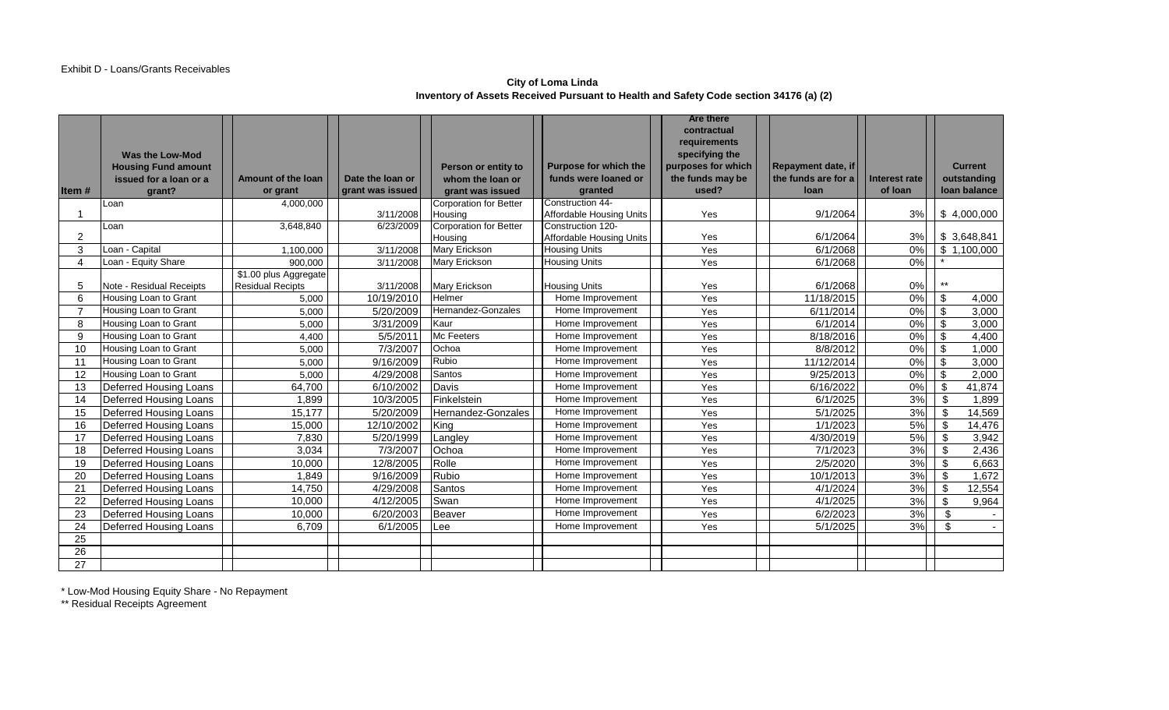### **City of Loma Linda Inventory of Assets Received Pursuant to Health and Safety Code section 34176 (a) (2)**

|                        |                            |                           |                                      |                                          |                                 | <b>Are there</b>          |                             |                                 |                             |        |
|------------------------|----------------------------|---------------------------|--------------------------------------|------------------------------------------|---------------------------------|---------------------------|-----------------------------|---------------------------------|-----------------------------|--------|
|                        |                            |                           |                                      |                                          |                                 | contractual               |                             |                                 |                             |        |
|                        |                            |                           |                                      |                                          |                                 | requirements              |                             |                                 |                             |        |
|                        | Was the Low-Mod            |                           |                                      |                                          |                                 | specifying the            |                             |                                 |                             |        |
|                        | <b>Housing Fund amount</b> |                           |                                      | Person or entity to                      | Purpose for which the           | purposes for which        | Repayment date, if          |                                 | <b>Current</b>              |        |
|                        | issued for a loan or a     | <b>Amount of the loan</b> | Date the loan or<br>grant was issued | whom the loan or                         | funds were loaned or            | the funds may be<br>used? | the funds are for a<br>loan | <b>Interest rate</b><br>of loan | outstanding<br>Ioan balance |        |
| Item#                  | qrant?                     | or grant                  |                                      | grant was issued                         | granted<br>Construction 44-     |                           |                             |                                 |                             |        |
|                        | Loan                       | 4,000,000                 | 3/11/2008                            | <b>Corporation for Better</b><br>Housing | <b>Affordable Housing Units</b> | Yes                       | 9/1/2064                    | 3%                              | \$4,000,000                 |        |
|                        | Loan                       | 3,648,840                 | 6/23/2009                            | <b>Corporation for Better</b>            | Construction 120-               |                           |                             |                                 |                             |        |
| 2                      |                            |                           |                                      | Housing                                  | <b>Affordable Housing Units</b> | Yes                       | 6/1/2064                    | 3%                              | \$3,648,841                 |        |
| 3                      | Loan - Capital             | 1,100,000                 | 3/11/2008                            | Mary Erickson                            | <b>Housing Units</b>            | Yes                       | 6/1/2068                    | 0%                              | \$1,100,000                 |        |
| $\boldsymbol{\Lambda}$ | Loan - Equity Share        | 900.000                   | 3/11/2008                            | Mary Erickson                            | <b>Housing Units</b>            | Yes                       | 6/1/2068                    | 0%                              |                             |        |
|                        |                            | \$1.00 plus Aggregate     |                                      |                                          |                                 |                           |                             |                                 |                             |        |
| 5                      | Note - Residual Receipts   | <b>Residual Recipts</b>   | 3/11/2008                            | <b>Mary Erickson</b>                     | <b>Housing Units</b>            | Yes                       | 6/1/2068                    | 0%                              | $***$                       |        |
| 6                      | Housing Loan to Grant      | 5,000                     | 10/19/2010                           | Helmer                                   | Home Improvement                | Yes                       | 11/18/2015                  | 0%                              | \$                          | 4,000  |
|                        | Housing Loan to Grant      | 5,000                     | 5/20/2009                            | Hernandez-Gonzales                       | Home Improvement                | Yes                       | 6/11/2014                   | 0%                              | \$                          | 3,000  |
| 8                      | Housing Loan to Grant      | 5.000                     | 3/31/2009                            | Kaur                                     | Home Improvement                | Yes                       | 6/1/2014                    | 0%                              | \$                          | 3,000  |
| 9                      | Housing Loan to Grant      | 4,400                     | 5/5/201'                             | Mc Feeters                               | Home Improvement                | Yes                       | 8/18/2016                   | 0%                              | \$                          | 4,400  |
| 10                     | Housing Loan to Grant      | 5.000                     | 7/3/2007                             | Ochoa                                    | Home Improvement                | Yes                       | 8/8/2012                    | 0%                              | \$                          | 1,000  |
| 11                     | Housing Loan to Grant      | 5,000                     | 9/16/2009                            | Rubio                                    | Home Improvement                | Yes                       | 11/12/2014                  | 0%                              | \$                          | 3,000  |
| 12                     | Housing Loan to Grant      | 5.000                     | 4/29/2008                            | Santos                                   | Home Improvement                | Yes                       | 9/25/2013                   | 0%                              | \$                          | 2,000  |
| 13                     | Deferred Housing Loans     | 64,700                    | 6/10/2002                            | Davis                                    | Home Improvement                | Yes                       | 6/16/2022                   | 0%                              | \$                          | 41,874 |
| 14                     | Deferred Housing Loans     | 1,899                     | 10/3/2005                            | Finkelstein                              | Home Improvement                | Yes                       | 6/1/2025                    | 3%                              | \$                          | 1,899  |
| 15                     | Deferred Housing Loans     | 15,177                    | 5/20/2009                            | Hernandez-Gonzales                       | Home Improvement                | Yes                       | 5/1/2025                    | $3\%$                           | \$                          | 14,569 |
| 16                     | Deferred Housing Loans     | 15,000                    | 12/10/2002                           | King                                     | Home Improvement                | Yes                       | 1/1/2023                    | 5%                              | \$                          | 14,476 |
| 17                     | Deferred Housing Loans     | 7,830                     | 5/20/1999                            | Langley                                  | Home Improvement                | Yes                       | 4/30/2019                   | 5%                              | \$                          | 3,942  |
| 18                     | Deferred Housing Loans     | 3,034                     | 7/3/2007                             | Ochoa                                    | Home Improvement                | Yes                       | 7/1/2023                    | 3%                              | $\mathbb{S}$                | 2,436  |
| 19                     | Deferred Housing Loans     | 10,000                    | 12/8/2005                            | Rolle                                    | Home Improvement                | Yes                       | 2/5/2020                    | 3%                              | \$                          | 6,663  |
| 20                     | Deferred Housing Loans     | 1,849                     | 9/16/2009                            | Rubio                                    | Home Improvement                | Yes                       | 10/1/2013                   | 3%                              | $\mathbb{S}$                | 1,672  |
| 21                     | Deferred Housing Loans     | 14,750                    | 4/29/2008                            | Santos                                   | Home Improvement                | Yes                       | 4/1/2024                    | 3%                              | \$                          | 12,554 |
| 22                     | Deferred Housing Loans     | 10,000                    | 4/12/2005                            | Swan                                     | Home Improvement                | Yes                       | 4/1/2025                    | 3%                              | \$                          | 9,964  |
| 23                     | Deferred Housing Loans     | 10,000                    | 6/20/2003                            | <b>Beaver</b>                            | Home Improvement                | Yes                       | 6/2/2023                    | 3%                              | $\sqrt[6]{2}$               |        |
| 24                     | Deferred Housing Loans     | 6,709                     | 6/1/2005                             | Lee                                      | Home Improvement                | Yes                       | 5/1/2025                    | 3%                              | \$                          |        |
| 25                     |                            |                           |                                      |                                          |                                 |                           |                             |                                 |                             |        |
| 26                     |                            |                           |                                      |                                          |                                 |                           |                             |                                 |                             |        |
| 27                     |                            |                           |                                      |                                          |                                 |                           |                             |                                 |                             |        |

\* Low-Mod Housing Equity Share - No Repayment

\*\* Residual Receipts Agreement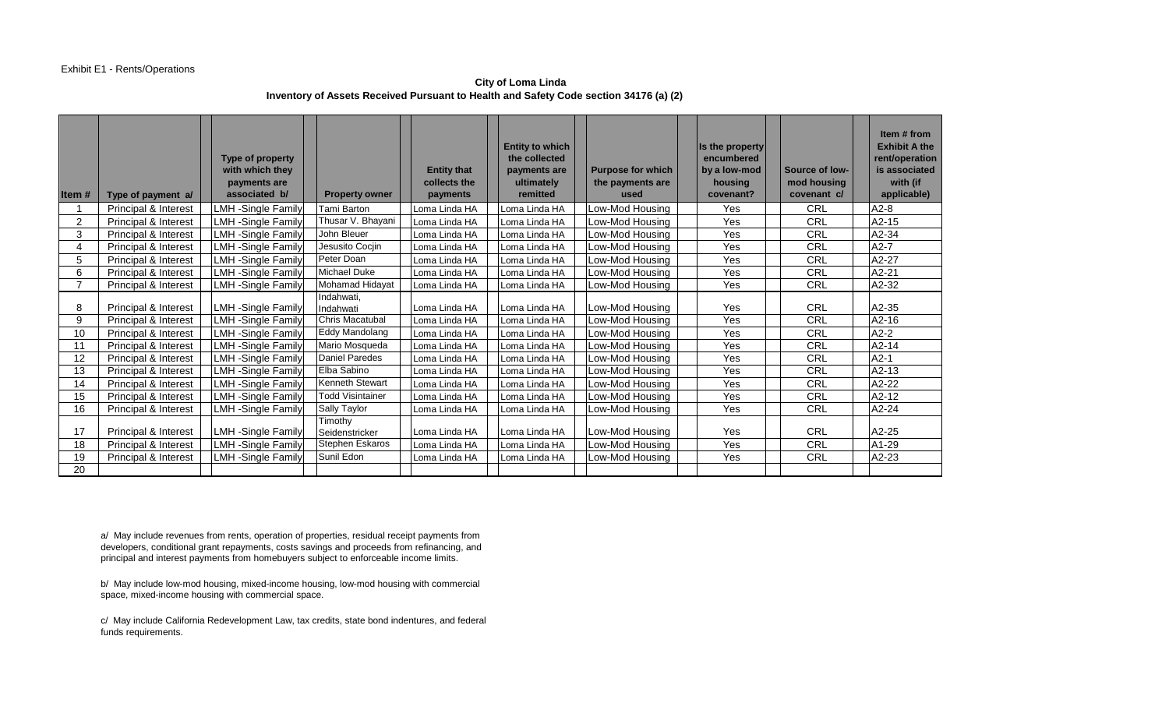**City of Loma Linda Inventory of Assets Received Pursuant to Health and Safety Code section 34176 (a) (2)** 

| Item $#$       | Type of payment a/   | <b>Type of property</b><br>with which they<br>payments are<br>associated b/ | <b>Property owner</b>         | <b>Entity that</b><br>collects the<br>payments | <b>Entity to which</b><br>the collected<br>payments are<br>ultimately<br>remitted | <b>Purpose for which</b><br>the payments are<br>used | Is the property<br>encumbered<br>by a low-mod<br>housing<br>covenant? | Source of low-<br>mod housing<br>covenant c/ | Item # from<br><b>Exhibit A the</b><br>rent/operation<br>is associated<br>with (if<br>applicable) |
|----------------|----------------------|-----------------------------------------------------------------------------|-------------------------------|------------------------------------------------|-----------------------------------------------------------------------------------|------------------------------------------------------|-----------------------------------------------------------------------|----------------------------------------------|---------------------------------------------------------------------------------------------------|
|                | Principal & Interest | <b>LMH-Single Family</b>                                                    | Tami Barton                   | Loma Linda HA                                  | Loma Linda HA                                                                     | Low-Mod Housing                                      | Yes                                                                   | <b>CRL</b>                                   | $A2-8$                                                                                            |
| $\overline{2}$ | Principal & Interest | <b>LMH</b> -Single Family                                                   | Thusar V. Bhayani             | Loma Linda HA                                  | Loma Linda HA                                                                     | Low-Mod Housing                                      | Yes                                                                   | CRL                                          | $A2-15$                                                                                           |
| 3              | Principal & Interest | <b>LMH</b> -Single Family                                                   | John Bleuer                   | Loma Linda HA                                  | Loma Linda HA                                                                     | Low-Mod Housing                                      | Yes                                                                   | CRL                                          | $A2-34$                                                                                           |
| 4              | Principal & Interest | <b>LMH-Single Family</b>                                                    | Jesusito Cocjin               | Loma Linda HA                                  | Loma Linda HA                                                                     | Low-Mod Housing                                      | Yes                                                                   | CRL                                          | $A2-7$                                                                                            |
| 5              | Principal & Interest | <b>LMH-Single Family</b>                                                    | Peter Doan                    | Loma Linda HA                                  | Loma Linda HA                                                                     | Low-Mod Housing                                      | Yes                                                                   | CRL                                          | A2-27                                                                                             |
| 6              | Principal & Interest | <b>LMH</b> -Single Family                                                   | Michael Duke                  | Loma Linda HA                                  | Loma Linda HA                                                                     | Low-Mod Housing                                      | Yes                                                                   | CRL                                          | $A2-21$                                                                                           |
| $\overline{7}$ | Principal & Interest | <b>LMH-Single Family</b>                                                    | Mohamad Hidayat               | Loma Linda HA                                  | Loma Linda HA                                                                     | Low-Mod Housing                                      | Yes                                                                   | <b>CRL</b>                                   | A2-32                                                                                             |
| 8              | Principal & Interest | <b>LMH</b> -Single Family                                                   | Indahwati,<br>Indahwati       | Loma Linda HA                                  | Loma Linda HA                                                                     | Low-Mod Housing                                      | Yes                                                                   | <b>CRL</b>                                   | A2-35                                                                                             |
| 9              | Principal & Interest | <b>LMH-Single Family</b>                                                    | Chris Macatubal               | Loma Linda HA                                  | Loma Linda HA                                                                     | Low-Mod Housing                                      | Yes                                                                   | CRL                                          | $A2-16$                                                                                           |
| 10             | Principal & Interest | <b>LMH-Single Family</b>                                                    | Eddy Mandolang                | Loma Linda HA                                  | Loma Linda HA                                                                     | Low-Mod Housing                                      | Yes                                                                   | CRL                                          | $A2-2$                                                                                            |
| 11             | Principal & Interest | <b>LMH-Single Family</b>                                                    | Mario Mosqueda                | Loma Linda HA                                  | Loma Linda HA                                                                     | Low-Mod Housing                                      | Yes                                                                   | <b>CRL</b>                                   | $A2-14$                                                                                           |
| 12             | Principal & Interest | <b>LMH</b> -Single Family                                                   | <b>Daniel Paredes</b>         | Loma Linda HA                                  | LLoma Linda HA                                                                    | Low-Mod Housing                                      | Yes                                                                   | CRL                                          | $A2-1$                                                                                            |
| 13             | Principal & Interest | <b>LMH</b> -Single Family                                                   | Elba Sabino                   | Loma Linda HA                                  | Loma Linda HA                                                                     | Low-Mod Housing                                      | Yes                                                                   | <b>CRL</b>                                   | $A2-13$                                                                                           |
| 14             | Principal & Interest | <b>LMH-Single Family</b>                                                    | <b>Kenneth Stewart</b>        | Loma Linda HA                                  | Loma Linda HA                                                                     | Low-Mod Housing                                      | Yes                                                                   | <b>CRL</b>                                   | $A2-22$                                                                                           |
| 15             | Principal & Interest | <b>LMH-Single Family</b>                                                    | <b>Todd Visintainer</b>       | Loma Linda HA                                  | Loma Linda HA                                                                     | Low-Mod Housing                                      | Yes                                                                   | CRL                                          | A2-12                                                                                             |
| 16             | Principal & Interest | <b>LMH</b> -Single Family                                                   | Sally Taylor                  | Loma Linda HA                                  | Loma Linda HA                                                                     | Low-Mod Housing                                      | Yes                                                                   | CRL                                          | $A2-24$                                                                                           |
| 17             | Principal & Interest | <b>LMH</b> -Single Family                                                   | Timothy<br>Seidenstricker     | Loma Linda HA                                  | LLoma Linda HA                                                                    | Low-Mod Housing                                      | Yes                                                                   | CRL                                          | A2-25                                                                                             |
| 18             | Principal & Interest | <b>LMH-Single Family</b>                                                    | Stephen Eskaros<br>Sunil Edon | Loma Linda HA                                  | Loma Linda HA                                                                     | Low-Mod Housing                                      | Yes                                                                   | <b>CRL</b>                                   | A1-29                                                                                             |
| 19             | Principal & Interest | <b>LMH-Single Family</b>                                                    |                               | Loma Linda HA                                  | Loma Linda HA                                                                     | Low-Mod Housing                                      | Yes                                                                   | <b>CRL</b>                                   | $A2-23$                                                                                           |
| 20             |                      |                                                                             |                               |                                                |                                                                                   |                                                      |                                                                       |                                              |                                                                                                   |

a/ May include revenues from rents, operation of properties, residual receipt payments from developers, conditional grant repayments, costs savings and proceeds from refinancing, and principal and interest payments from homebuyers subject to enforceable income limits.

b/ May include low-mod housing, mixed-income housing, low-mod housing with commercial space, mixed-income housing with commercial space.

c/ May include California Redevelopment Law, tax credits, state bond indentures, and federal funds requirements.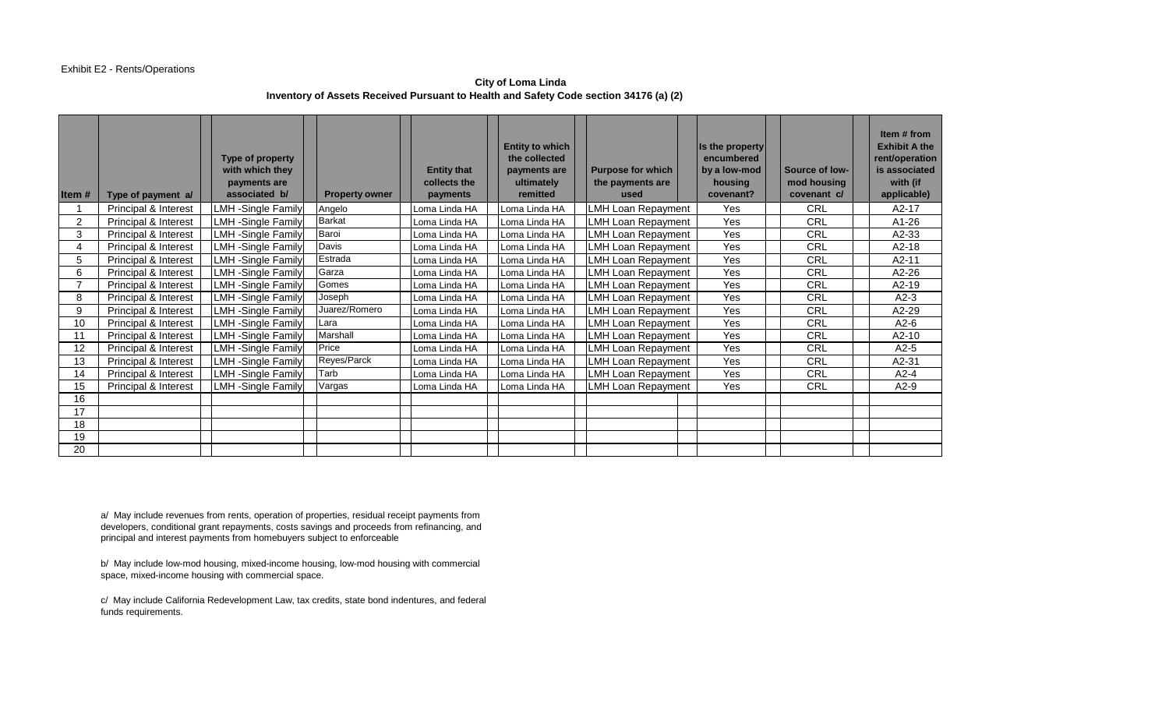**City of Loma Linda Inventory of Assets Received Pursuant to Health and Safety Code section 34176 (a) (2)** 

| Item# | Type of payment a/   | Type of property<br>with which they<br>payments are<br>associated b/ | <b>Property owner</b> | <b>Entity that</b><br>collects the<br>payments | <b>Entity to which</b><br>the collected<br>payments are<br>ultimately<br>remitted | <b>Purpose for which</b><br>the payments are<br>used | Is the property<br>encumbered<br>by a low-mod<br>housing<br>covenant? | Source of low-<br>mod housing<br>covenant c/ | Item # from<br><b>Exhibit A the</b><br>rent/operation<br>is associated<br>with (if<br>applicable) |
|-------|----------------------|----------------------------------------------------------------------|-----------------------|------------------------------------------------|-----------------------------------------------------------------------------------|------------------------------------------------------|-----------------------------------------------------------------------|----------------------------------------------|---------------------------------------------------------------------------------------------------|
|       | Principal & Interest | <b>LMH</b> -Single Family                                            | Angelo                | Loma Linda HA                                  | Loma Linda HA                                                                     | <b>LMH Loan Repayment</b>                            | Yes                                                                   | CRL                                          | $A2-17$                                                                                           |
| 2     | Principal & Interest | <b>LMH</b> -Single Family                                            | <b>Barkat</b>         | Loma Linda HA                                  | oma Linda HA                                                                      | <b>LMH Loan Repayment</b>                            | Yes                                                                   | CRL                                          | A1-26                                                                                             |
| 3     | Principal & Interest | <b>LMH</b> -Single Family                                            | Baroi                 | Loma Linda HA                                  | Loma Linda HA                                                                     | LMH Loan Repayment                                   | Yes                                                                   | CRL                                          | A2-33                                                                                             |
| 4     | Principal & Interest | <b>LMH</b> -Single Family                                            | Davis                 | Loma Linda HA                                  | Loma Linda HA                                                                     | <b>LMH Loan Repayment</b>                            | Yes                                                                   | <b>CRL</b>                                   | $A2-18$                                                                                           |
| 5     | Principal & Interest | <b>LMH</b> -Single Family                                            | Estrada               | Loma Linda HA                                  | Loma Linda HA                                                                     | <b>LMH Loan Repayment</b>                            | Yes                                                                   | CRL                                          | A2-11                                                                                             |
| 6     | Principal & Interest | <b>LMH</b> -Single Family                                            | Garza                 | Loma Linda HA                                  | Loma Linda HA                                                                     | <b>LMH Loan Repayment</b>                            | Yes                                                                   | <b>CRL</b>                                   | A2-26                                                                                             |
|       | Principal & Interest | <b>LMH</b> -Single Family                                            | Gomes                 | Loma Linda HA                                  | Loma Linda HA                                                                     | LMH Loan Repayment                                   | Yes                                                                   | CRL                                          | A2-19                                                                                             |
| 8     | Principal & Interest | <b>LMH</b> -Single Family                                            | Joseph                | Loma Linda HA                                  | Loma Linda HA                                                                     | <b>LMH Loan Repayment</b>                            | Yes                                                                   | CRL                                          | $A2-3$                                                                                            |
| 9     | Principal & Interest | <b>LMH</b> -Single Family                                            | Juarez/Romero         | Loma Linda HA                                  | Loma Linda HA                                                                     | <b>LMH Loan Repayment</b>                            | Yes                                                                   | CRL                                          | $A2-29$                                                                                           |
| 10    | Principal & Interest | <b>LMH-Single Family</b>                                             | Lara                  | Loma Linda HA                                  | Loma Linda HA                                                                     | <b>LMH Loan Repayment</b>                            | Yes                                                                   | CRL                                          | $A2-6$                                                                                            |
| 11    | Principal & Interest | <b>LMH</b> -Single Family                                            | Marshall              | Loma Linda HA                                  | Loma Linda HA                                                                     | <b>LMH Loan Repayment</b>                            | Yes                                                                   | CRL                                          | A2-10                                                                                             |
| 12    | Principal & Interest | <b>LMH</b> -Single Family                                            | Price                 | Loma Linda HA                                  | Loma Linda HA                                                                     | <b>LMH Loan Repayment</b>                            | Yes                                                                   | CRL                                          | $A2-5$                                                                                            |
| 13    | Principal & Interest | <b>LMH</b> -Single Family                                            | Reyes/Parck           | Loma Linda HA                                  | Loma Linda HA                                                                     | <b>LMH Loan Repayment</b>                            | Yes                                                                   | CRL                                          | A2-31                                                                                             |
| 14    | Principal & Interest | <b>LMH</b> -Single Family                                            | Tarb                  | Loma Linda HA                                  | Loma Linda HA                                                                     | <b>LMH Loan Repayment</b>                            | Yes                                                                   | CRL                                          | $A2-4$                                                                                            |
| 15    | Principal & Interest | <b>LMH</b> -Single Family                                            | Vargas                | Loma Linda HA                                  | oma Linda HA                                                                      | <b>LMH Loan Repayment</b>                            | Yes                                                                   | <b>CRL</b>                                   | $A2-9$                                                                                            |
| 16    |                      |                                                                      |                       |                                                |                                                                                   |                                                      |                                                                       |                                              |                                                                                                   |
| 17    |                      |                                                                      |                       |                                                |                                                                                   |                                                      |                                                                       |                                              |                                                                                                   |
| 18    |                      |                                                                      |                       |                                                |                                                                                   |                                                      |                                                                       |                                              |                                                                                                   |
| 19    |                      |                                                                      |                       |                                                |                                                                                   |                                                      |                                                                       |                                              |                                                                                                   |
| 20    |                      |                                                                      |                       |                                                |                                                                                   |                                                      |                                                                       |                                              |                                                                                                   |

a/ May include revenues from rents, operation of properties, residual receipt payments from developers, conditional grant repayments, costs savings and proceeds from refinancing, and principal and interest payments from homebuyers subject to enforceable

b/ May include low-mod housing, mixed-income housing, low-mod housing with commercial space, mixed-income housing with commercial space.

c/ May include California Redevelopment Law, tax credits, state bond indentures, and federal funds requirements.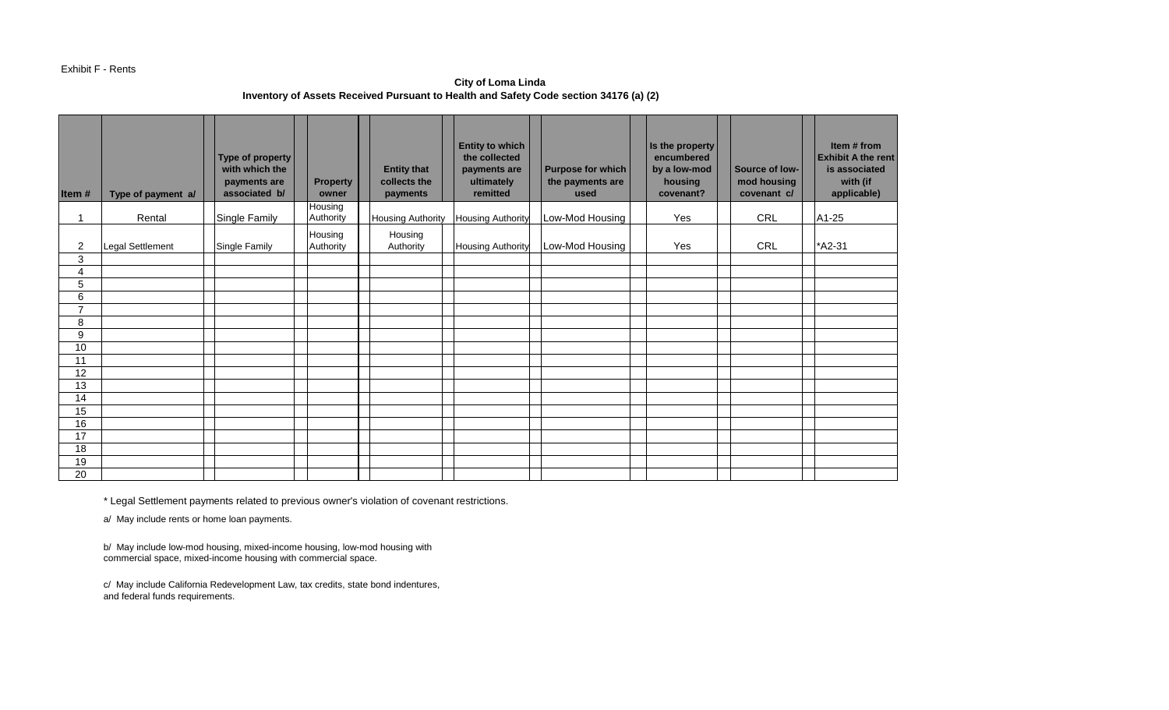#### Exhibit F - Rents

**City of Loma Linda Inventory of Assets Received Pursuant to Health and Safety Code section 34176 (a) (2)** 

| Item#          | Type of payment a/ | Type of property<br>with which the<br>payments are<br>associated b/ | <b>Property</b><br>owner | <b>Entity that</b><br>collects the<br>payments | <b>Entity to which</b><br>the collected<br>payments are<br>ultimately<br>remitted | <b>Purpose for which</b><br>the payments are<br>used | Is the property<br>encumbered<br>by a low-mod<br>housing<br>covenant? | Source of low-<br>mod housing<br>covenant c/ | Item # from<br><b>Exhibit A the rent</b><br>is associated<br>with (if<br>applicable) |
|----------------|--------------------|---------------------------------------------------------------------|--------------------------|------------------------------------------------|-----------------------------------------------------------------------------------|------------------------------------------------------|-----------------------------------------------------------------------|----------------------------------------------|--------------------------------------------------------------------------------------|
|                | Rental             | Single Family                                                       | Housing                  |                                                |                                                                                   | Low-Mod Housing                                      | Yes                                                                   | CRL                                          | A1-25                                                                                |
|                |                    |                                                                     | Authority                | <b>Housing Authority</b>                       | <b>Housing Authority</b>                                                          |                                                      |                                                                       |                                              |                                                                                      |
| $\overline{2}$ | Legal Settlement   | Single Family                                                       | Housing<br>Authority     | Housing<br>Authority                           | <b>Housing Authority</b>                                                          | Low-Mod Housing                                      | Yes                                                                   | CRL                                          | *A2-31                                                                               |
| 3              |                    |                                                                     |                          |                                                |                                                                                   |                                                      |                                                                       |                                              |                                                                                      |
| 4              |                    |                                                                     |                          |                                                |                                                                                   |                                                      |                                                                       |                                              |                                                                                      |
| 5              |                    |                                                                     |                          |                                                |                                                                                   |                                                      |                                                                       |                                              |                                                                                      |
| 6              |                    |                                                                     |                          |                                                |                                                                                   |                                                      |                                                                       |                                              |                                                                                      |
| $\overline{7}$ |                    |                                                                     |                          |                                                |                                                                                   |                                                      |                                                                       |                                              |                                                                                      |
| 8              |                    |                                                                     |                          |                                                |                                                                                   |                                                      |                                                                       |                                              |                                                                                      |
| 9              |                    |                                                                     |                          |                                                |                                                                                   |                                                      |                                                                       |                                              |                                                                                      |
| 10             |                    |                                                                     |                          |                                                |                                                                                   |                                                      |                                                                       |                                              |                                                                                      |
| 11             |                    |                                                                     |                          |                                                |                                                                                   |                                                      |                                                                       |                                              |                                                                                      |
| 12             |                    |                                                                     |                          |                                                |                                                                                   |                                                      |                                                                       |                                              |                                                                                      |
| 13             |                    |                                                                     |                          |                                                |                                                                                   |                                                      |                                                                       |                                              |                                                                                      |
| 14             |                    |                                                                     |                          |                                                |                                                                                   |                                                      |                                                                       |                                              |                                                                                      |
| 15             |                    |                                                                     |                          |                                                |                                                                                   |                                                      |                                                                       |                                              |                                                                                      |
| 16             |                    |                                                                     |                          |                                                |                                                                                   |                                                      |                                                                       |                                              |                                                                                      |
| 17             |                    |                                                                     |                          |                                                |                                                                                   |                                                      |                                                                       |                                              |                                                                                      |
| 18             |                    |                                                                     |                          |                                                |                                                                                   |                                                      |                                                                       |                                              |                                                                                      |
| 19             |                    |                                                                     |                          |                                                |                                                                                   |                                                      |                                                                       |                                              |                                                                                      |
| 20             |                    |                                                                     |                          |                                                |                                                                                   |                                                      |                                                                       |                                              |                                                                                      |

\* Legal Settlement payments related to previous owner's violation of covenant restrictions.

a/ May include rents or home loan payments.

b/ May include low-mod housing, mixed-income housing, low-mod housing with commercial space, mixed-income housing with commercial space.

c/ May include California Redevelopment Law, tax credits, state bond indentures, and federal funds requirements.